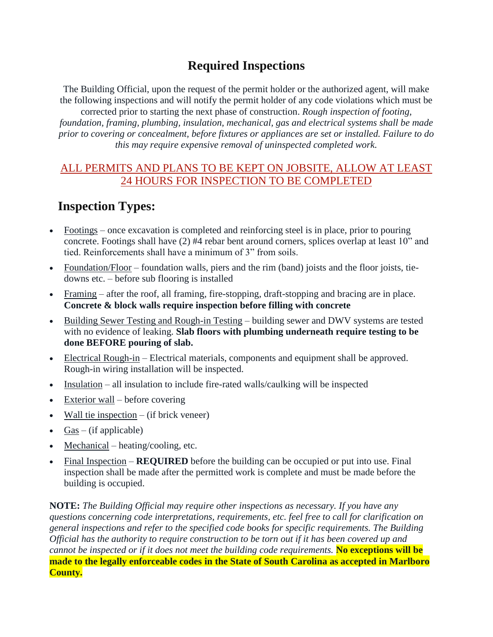## **Required Inspections**

The Building Official, upon the request of the permit holder or the authorized agent, will make the following inspections and will notify the permit holder of any code violations which must be corrected prior to starting the next phase of construction. *Rough inspection of footing,* 

*foundation, framing, plumbing, insulation, mechanical, gas and electrical systems shall be made prior to covering or concealment, before fixtures or appliances are set or installed. Failure to do this may require expensive removal of uninspected completed work.*

#### ALL PERMITS AND PLANS TO BE KEPT ON JOBSITE, ALLOW AT LEAST 24 HOURS FOR INSPECTION TO BE COMPLETED

# **Inspection Types:**

- Footings once excavation is completed and reinforcing steel is in place, prior to pouring concrete. Footings shall have (2) #4 rebar bent around corners, splices overlap at least 10" and tied. Reinforcements shall have a minimum of 3" from soils.
- Foundation/Floor foundation walls, piers and the rim (band) joists and the floor joists, tiedowns etc. – before sub flooring is installed
- Framing after the roof, all framing, fire-stopping, draft-stopping and bracing are in place. **Concrete & block walls require inspection before filling with concrete**
- Building Sewer Testing and Rough-in Testing building sewer and DWV systems are tested with no evidence of leaking. **Slab floors with plumbing underneath require testing to be done BEFORE pouring of slab.**
- Electrical Rough-in Electrical materials, components and equipment shall be approved. Rough-in wiring installation will be inspected.
- Insulation all insulation to include fire-rated walls/caulking will be inspected
- $\bullet$  Exterior wall before covering
- Wall tie inspection  $-$  (if brick veneer)
- $Gas (if applicable)$
- Mechanical heating/cooling, etc.
- Final Inspection **REQUIRED** before the building can be occupied or put into use. Final inspection shall be made after the permitted work is complete and must be made before the building is occupied.

**NOTE:** *The Building Official may require other inspections as necessary. If you have any questions concerning code interpretations, requirements, etc. feel free to call for clarification on general inspections and refer to the specified code books for specific requirements. The Building Official has the authority to require construction to be torn out if it has been covered up and cannot be inspected or if it does not meet the building code requirements.* **No exceptions will be made to the legally enforceable codes in the State of South Carolina as accepted in Marlboro County.**